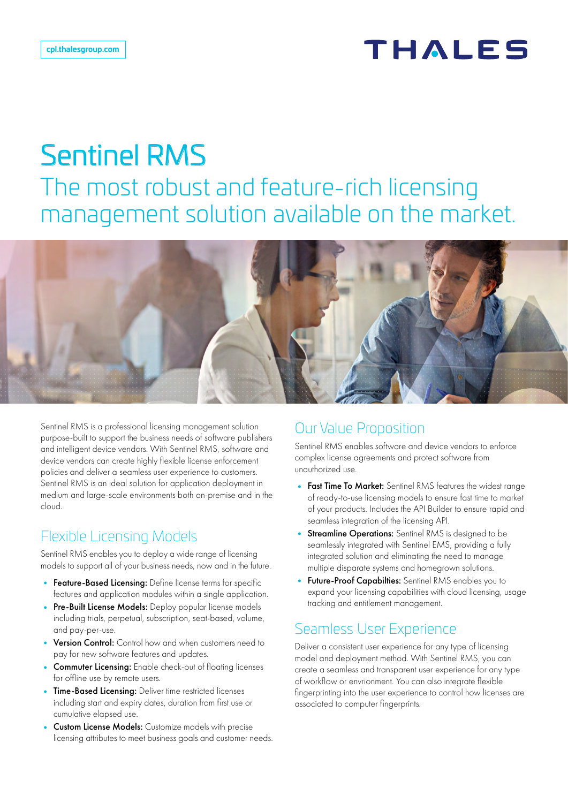# THALES

## Sentinel RMS The most robust and feature-rich licensing management solution available on the market.



Sentinel RMS is a professional licensing management solution purpose-built to support the business needs of software publishers and intelligent device vendors. With Sentinel RMS, software and device vendors can create highly flexible license enforcement policies and deliver a seamless user experience to customers. Sentinel RMS is an ideal solution for application deployment in medium and large-scale environments both on-premise and in the cloud.

## Flexible Licensing Models

Sentinel RMS enables you to deploy a wide range of licensing models to support all of your business needs, now and in the future.

- Feature-Based Licensing: Define license terms for specific features and application modules within a single application.
- Pre-Built License Models: Deploy popular license models including trials, perpetual, subscription, seat-based, volume, and pay-per-use.
- Version Control: Control how and when customers need to pay for new software features and updates.
- Commuter Licensing: Enable check-out of floating licenses for offline use by remote users.
- Time-Based Licensing: Deliver time restricted licenses including start and expiry dates, duration from first use or cumulative elapsed use.
- Custom License Models: Customize models with precise licensing attributes to meet business goals and customer needs.

#### Our Value Proposition

Sentinel RMS enables software and device vendors to enforce complex license agreements and protect software from unauthorized use.

- Fast Time To Market: Sentinel RMS features the widest range of ready-to-use licensing models to ensure fast time to market of your products. Includes the API Builder to ensure rapid and seamless integration of the licensing API.
- Streamline Operations: Sentinel RMS is designed to be seamlessly integrated with Sentinel EMS, providing a fully integrated solution and eliminating the need to manage multiple disparate systems and homegrown solutions.
- Future-Proof Capabilties: Sentinel RMS enables you to expand your licensing capabilities with cloud licensing, usage tracking and entitlement management.

### Seamless User Experience

Deliver a consistent user experience for any type of licensing model and deployment method. With Sentinel RMS, you can create a seamless and transparent user experience for any type of workflow or envrionment. You can also integrate flexible fingerprinting into the user experience to control how licenses are associated to computer fingerprints.